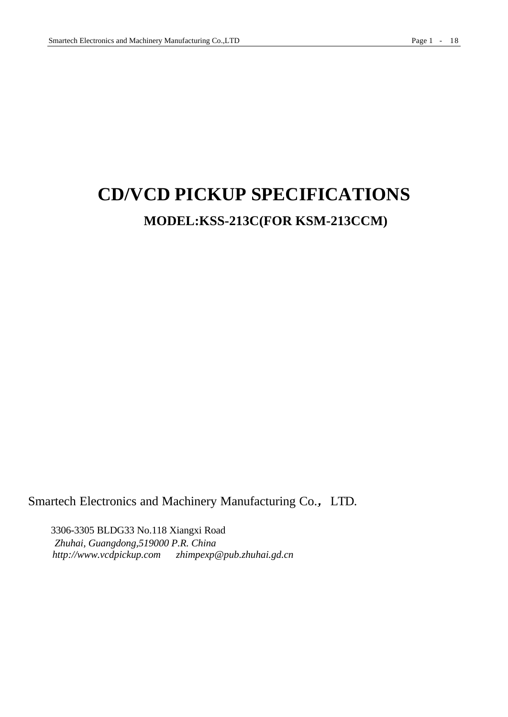# **CD/VCD PICKUP SPECIFICATIONS MODEL:KSS-213C(FOR KSM-213CCM)**

Smartech Electronics and Machinery Manufacturing Co., LTD.

3306-3305 BLDG33 No.118 Xiangxi Road *Zhuhai, Guangdong,519000 P.R. China http://www.vcdpickup.com zhimpexp@pub.zhuhai.gd.cn*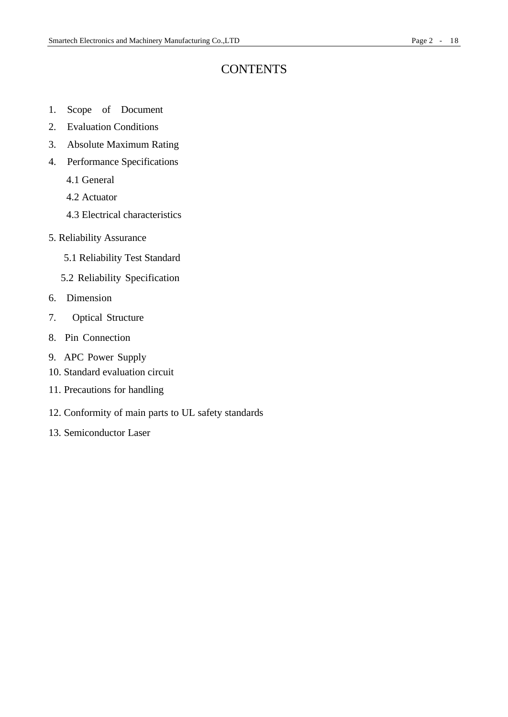### **CONTENTS**

- 1. Scope of Document
- 2. Evaluation Conditions
- 3. Absolute Maximum Rating
- 4. Performance Specifications
	- 4.1 General
	- 4.2 Actuator
	- 4.3 Electrical characteristics
- 5. Reliability Assurance
	- 5.1 Reliability Test Standard
	- 5.2 Reliability Specification
- 6. Dimension
- 7. Optical Structure
- 8. Pin Connection
- 9. APC Power Supply
- 10. Standard evaluation circuit
- 11. Precautions for handling
- 12. Conformity of main parts to UL safety standards
- 13. Semiconductor Laser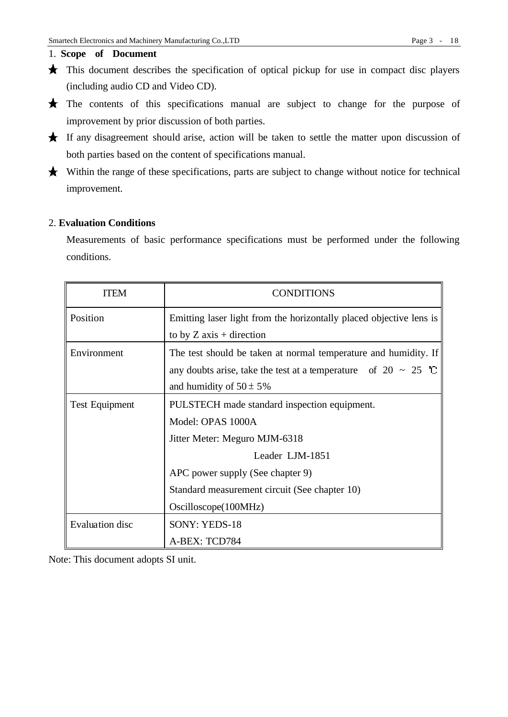### 1. **Scope of Document**

- $\star$  This document describes the specification of optical pickup for use in compact disc players (including audio CD and Video CD).
- The contents of this specifications manual are subject to change for the purpose of improvement by prior discussion of both parties.
- If any disagreement should arise, action will be taken to settle the matter upon discussion of both parties based on the content of specifications manual.
- Within the range of these specifications, parts are subject to change without notice for technical improvement.

### 2. **Evaluation Conditions**

Measurements of basic performance specifications must be performed under the following conditions.

| <b>ITEM</b>           | <b>CONDITIONS</b>                                                                                                                                                                                                                  |  |  |
|-----------------------|------------------------------------------------------------------------------------------------------------------------------------------------------------------------------------------------------------------------------------|--|--|
| Position              | Emitting laser light from the horizontally placed objective lens is<br>to by $Z$ axis + direction                                                                                                                                  |  |  |
| Environment           | The test should be taken at normal temperature and humidity. If<br>any doubts arise, take the test at a temperature of $20 \sim 25$ °C<br>and humidity of $50 \pm 5\%$                                                             |  |  |
| <b>Test Equipment</b> | PULSTECH made standard inspection equipment.<br>Model: OPAS 1000A<br>Jitter Meter: Meguro MJM-6318<br>Leader LJM-1851<br>APC power supply (See chapter 9)<br>Standard measurement circuit (See chapter 10)<br>Oscilloscope(100MHz) |  |  |
| Evaluation disc       | SONY: YEDS-18<br>A-BEX: TCD784                                                                                                                                                                                                     |  |  |

Note: This document adopts SI unit.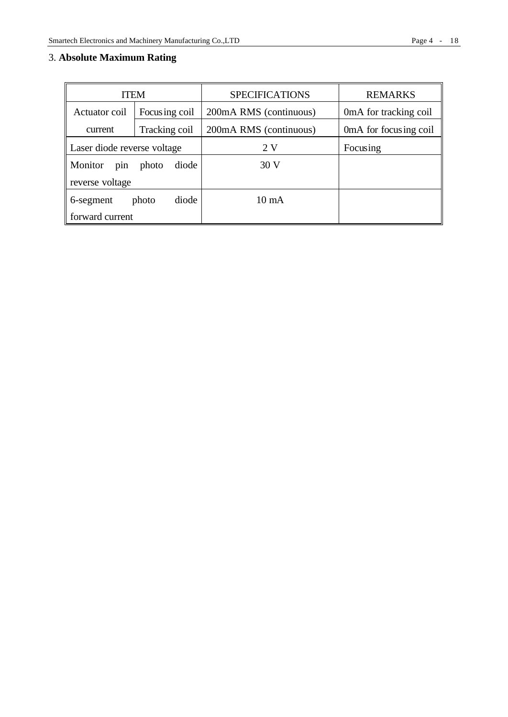### 3. **Absolute Maximum Rating**

| <b>ITEM</b>                 |                | <b>SPECIFICATIONS</b>  | <b>REMARKS</b>         |  |
|-----------------------------|----------------|------------------------|------------------------|--|
| Actuator coil               | Focusing coil  | 200mA RMS (continuous) | 0 mA for tracking coil |  |
| current                     | Tracking coil  | 200mA RMS (continuous) | 0mA for focusing coil  |  |
| Laser diode reverse voltage |                | 2V                     | Focusing               |  |
| Monitor<br>pin              | diode<br>photo | 30V                    |                        |  |
| reverse voltage             |                |                        |                        |  |
| 6-segment                   | diode<br>photo | $10 \text{ mA}$        |                        |  |
| forward current             |                |                        |                        |  |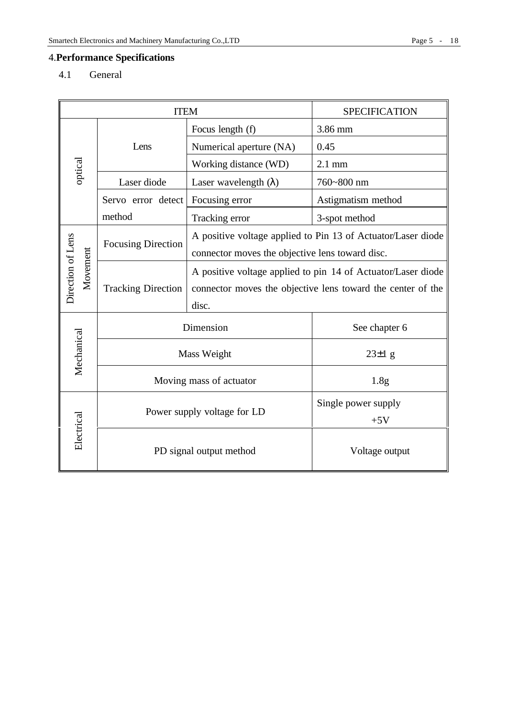## 4.**Performance Specifications**

4.1 General

| <b>ITEM</b>                   |                                                                              | <b>SPECIFICATION</b>        |                                                                                                                                      |                                                              |  |
|-------------------------------|------------------------------------------------------------------------------|-----------------------------|--------------------------------------------------------------------------------------------------------------------------------------|--------------------------------------------------------------|--|
|                               |                                                                              |                             | Focus length (f)                                                                                                                     | 3.86 mm                                                      |  |
|                               |                                                                              | Lens                        | Numerical aperture (NA)                                                                                                              | 0.45                                                         |  |
| optical                       |                                                                              |                             | Working distance (WD)                                                                                                                | $2.1$ mm                                                     |  |
|                               |                                                                              | Laser diode                 | Laser wavelength $(\lambda)$                                                                                                         | 760~800 nm                                                   |  |
|                               |                                                                              | Servo error detect          | Focusing error                                                                                                                       | Astigmatism method                                           |  |
|                               |                                                                              | method                      | Tracking error                                                                                                                       | 3-spot method                                                |  |
|                               | <b>Focusing Direction</b><br>connector moves the objective lens toward disc. |                             |                                                                                                                                      | A positive voltage applied to Pin 13 of Actuator/Laser diode |  |
| Direction of Lens<br>Movement |                                                                              | <b>Tracking Direction</b>   | A positive voltage applied to pin 14 of Actuator/Laser diode<br>connector moves the objective lens toward the center of the<br>disc. |                                                              |  |
|                               |                                                                              | Dimension                   |                                                                                                                                      | See chapter 6                                                |  |
| Mechanical                    |                                                                              | Mass Weight                 |                                                                                                                                      | $23\pm1$ g                                                   |  |
|                               |                                                                              | Moving mass of actuator     |                                                                                                                                      | 1.8 <sub>g</sub>                                             |  |
| Electrical                    |                                                                              | Power supply voltage for LD |                                                                                                                                      | Single power supply<br>$+5V$                                 |  |
|                               |                                                                              | PD signal output method     |                                                                                                                                      | Voltage output                                               |  |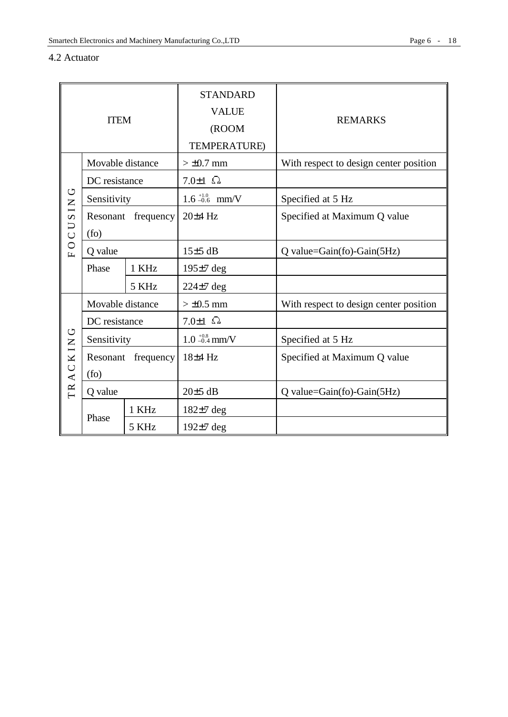### 4.2 Actuator

| <b>ITEM</b>             |                    |                    | <b>STANDARD</b><br><b>VALUE</b> | <b>REMARKS</b>                         |  |
|-------------------------|--------------------|--------------------|---------------------------------|----------------------------------------|--|
|                         |                    |                    | (ROOM<br>TEMPERATURE)           |                                        |  |
|                         | Movable distance   |                    | $> \pm 0.7$ mm                  | With respect to design center position |  |
|                         | DC resistance      |                    | 7.0 $\pm$ 1 $\Omega$            |                                        |  |
| じ                       | Sensitivity        |                    | $1.6 - 0.6$ mm/V                | Specified at 5 Hz                      |  |
| CUSIN                   |                    | Resonant frequency | 20±4 Hz                         | Specified at Maximum Q value           |  |
|                         | (f <sub>O</sub> )  |                    |                                 |                                        |  |
| $\circ$<br>$\mathbf{L}$ | Q value            |                    | $15±5$ dB                       | $Q$ value= $Gain(fo)$ - $Gain(5Hz)$    |  |
|                         | 1 KHz<br>Phase     |                    | $195±7$ deg                     |                                        |  |
|                         |                    | 5 KHz              | $224\pm7$ deg                   |                                        |  |
|                         | Movable distance   |                    | $> \pm 0.5$ mm                  | With respect to design center position |  |
| DC resistance           |                    |                    | 7.0 $\pm$ 1 $\Omega$            |                                        |  |
| U                       | Sensitivity        |                    | $1.0_{-0.4}^{+0.8}$ mm/V        | Specified at 5 Hz                      |  |
|                         | Resonant frequency |                    | 18±4 Hz                         | Specified at Maximum Q value           |  |
| TRACKIN                 | (f <sub>O</sub> )  |                    |                                 |                                        |  |
|                         | Q value            |                    | $20±5$ dB                       | $Q$ value= $Gain(fo)$ - $Gain(5Hz)$    |  |
|                         |                    | 1 KHz              | $182\pm7$ deg                   |                                        |  |
|                         | Phase              | 5 KHz              | $192±7$ deg                     |                                        |  |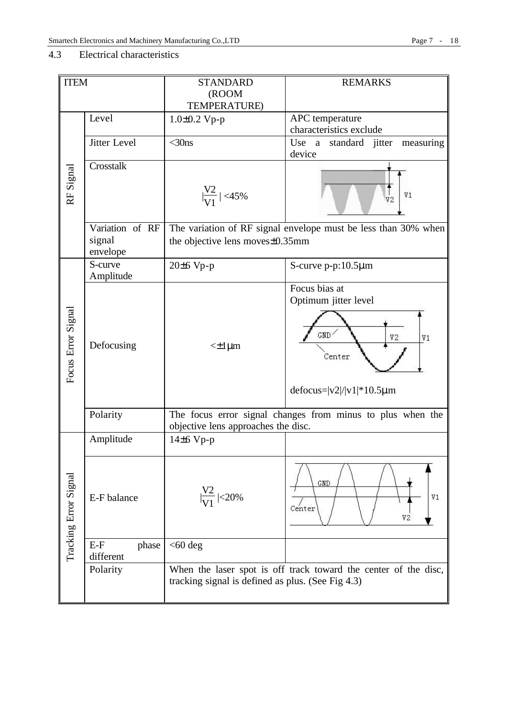### 4.3 Electrical characteristics

| <b>ITEM</b>           | <b>REMARKS</b><br><b>STANDARD</b>     |                                                                                                   |                                                                                                           |  |  |
|-----------------------|---------------------------------------|---------------------------------------------------------------------------------------------------|-----------------------------------------------------------------------------------------------------------|--|--|
|                       |                                       | (ROOM                                                                                             |                                                                                                           |  |  |
|                       |                                       | <b>TEMPERATURE)</b>                                                                               |                                                                                                           |  |  |
|                       | Level                                 | $1.0 \pm 0.2$ Vp-p                                                                                | APC temperature<br>characteristics exclude                                                                |  |  |
|                       | Jitter Level                          | $<$ 30ns                                                                                          | Use a standard jitter                                                                                     |  |  |
|                       |                                       |                                                                                                   | measuring<br>device                                                                                       |  |  |
|                       | Crosstalk                             |                                                                                                   |                                                                                                           |  |  |
| RF Signal             |                                       | $\frac{V2}{V1}$   <45%                                                                            | V1<br>V2                                                                                                  |  |  |
|                       | Variation of RF<br>signal<br>envelope | the objective lens moves±0.35mm                                                                   | The variation of RF signal envelope must be less than 30% when                                            |  |  |
|                       | S-curve                               | $20±6 Vp-p$                                                                                       | S-curve p-p:10.5µm                                                                                        |  |  |
|                       | Amplitude                             |                                                                                                   |                                                                                                           |  |  |
| Focus Error Signal    | Defocusing                            | $\leq$ $\pm$ 1 µm                                                                                 | Focus bias at<br>Optimum jitter level<br>GMD<br>V2<br>V1<br>Center<br>defocus= $ v2 / v1 $ * 10.5 $\mu$ m |  |  |
|                       | Polarity                              | The focus error signal changes from minus to plus when the<br>objective lens approaches the disc. |                                                                                                           |  |  |
|                       | Amplitude                             | $14\pm 6$ Vp-p                                                                                    |                                                                                                           |  |  |
| Tracking Error Signal | E-F balance                           | $\frac{V2}{V1}$ <20%                                                                              | GND<br>V1<br>Center<br>V2                                                                                 |  |  |
|                       | $E-F$<br>phase<br>different           | $<$ 60 deg                                                                                        |                                                                                                           |  |  |
|                       | Polarity                              | tracking signal is defined as plus. (See Fig 4.3)                                                 | When the laser spot is off track toward the center of the disc,                                           |  |  |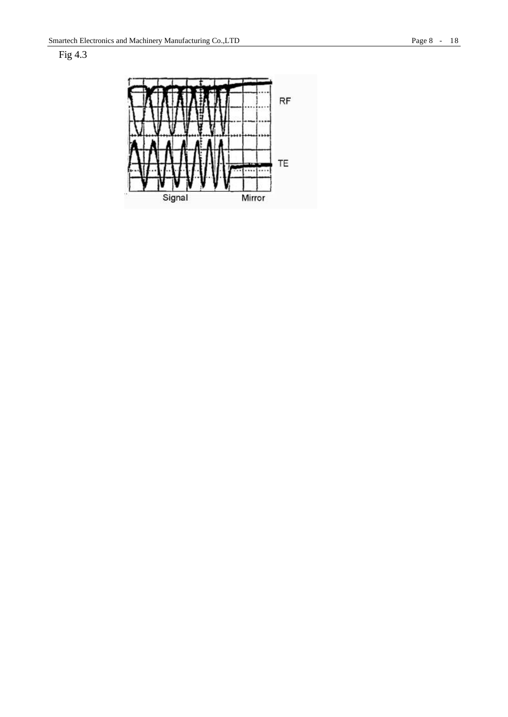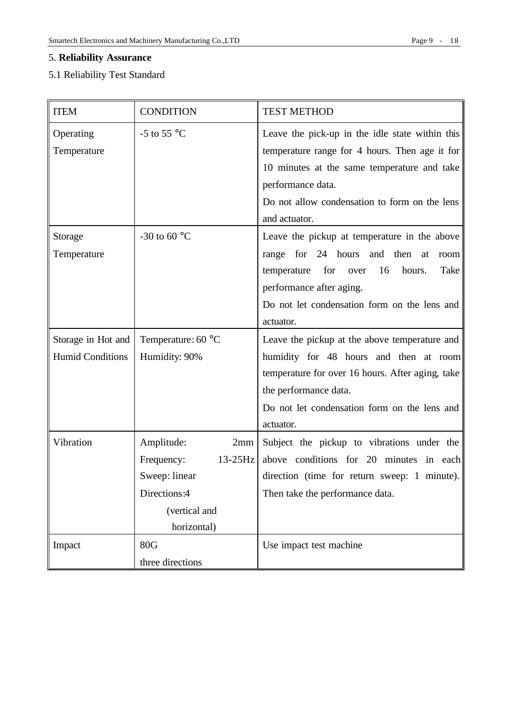### 5. **Reliability Assurance**

### 5.1 Reliability Test Standard

| <b>ITEM</b>             | <b>CONDITION</b>                                                    | <b>TEST METHOD</b>                                 |  |  |
|-------------------------|---------------------------------------------------------------------|----------------------------------------------------|--|--|
| Operating               | -5 to 55 $^{\circ}$ C                                               | Leave the pick-up in the idle state within this    |  |  |
| Temperature             |                                                                     | temperature range for 4 hours. Then age it for     |  |  |
|                         |                                                                     | 10 minutes at the same temperature and take        |  |  |
|                         |                                                                     | performance data.                                  |  |  |
|                         |                                                                     | Do not allow condensation to form on the lens      |  |  |
|                         |                                                                     | and actuator.                                      |  |  |
| Storage                 | -30 to 60 $^{\circ}$ C                                              | Leave the pickup at temperature in the above       |  |  |
| Temperature             |                                                                     | range for 24 hours and then at<br>room             |  |  |
|                         |                                                                     | 16<br>temperature<br>for<br>hours.<br>Take<br>over |  |  |
|                         |                                                                     | performance after aging.                           |  |  |
|                         |                                                                     | Do not let condensation form on the lens and       |  |  |
|                         |                                                                     | actuator.                                          |  |  |
| Storage in Hot and      | Temperature: 60 °C<br>Leave the pickup at the above temperature and |                                                    |  |  |
| <b>Humid Conditions</b> | Humidity: 90%                                                       | humidity for 48 hours and then at room             |  |  |
|                         |                                                                     | temperature for over 16 hours. After aging, take   |  |  |
|                         |                                                                     | the performance data.                              |  |  |
|                         |                                                                     | Do not let condensation form on the lens and       |  |  |
|                         |                                                                     | actuator.                                          |  |  |
| Vibration               | Amplitude:<br>2mm                                                   | Subject the pickup to vibrations under the         |  |  |
|                         | Frequency:<br>$13-25$ Hz                                            | above conditions for 20 minutes in each            |  |  |
|                         | Sweep: linear                                                       | direction (time for return sweep: 1 minute).       |  |  |
|                         | Directions:4                                                        | Then take the performance data.                    |  |  |
|                         | (vertical and                                                       |                                                    |  |  |
|                         | horizontal)                                                         |                                                    |  |  |
| Impact                  | <b>80G</b>                                                          | Use impact test machine                            |  |  |
|                         | three directions                                                    |                                                    |  |  |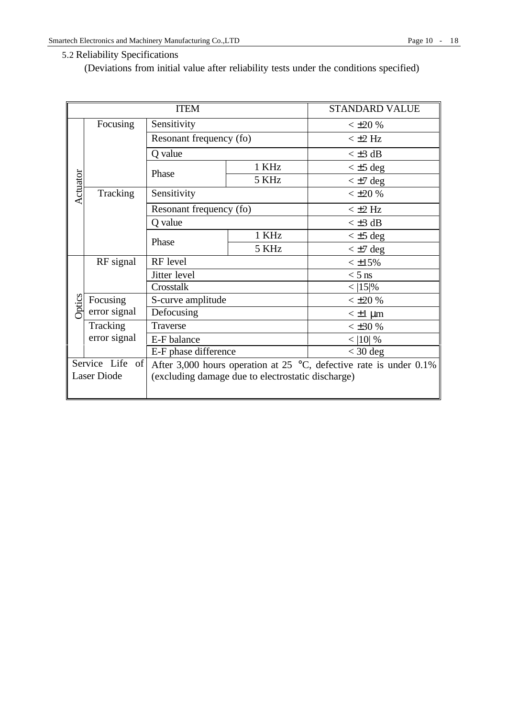### 5.2 Reliability Specifications

(Deviations from initial value after reliability tests under the conditions specified)

|          |                                                                                                | <b>ITEM</b>                                       |       | <b>STANDARD VALUE</b> |
|----------|------------------------------------------------------------------------------------------------|---------------------------------------------------|-------|-----------------------|
|          | Focusing                                                                                       | Sensitivity                                       |       | $< \pm 20\%$          |
|          |                                                                                                | Resonant frequency (fo)                           |       | $< \pm 2$ Hz          |
|          |                                                                                                | Q value                                           |       | $\leq \pm 3$ dB       |
|          |                                                                                                | Phase                                             | 1 KHz | $\leq \pm 5$ deg      |
|          |                                                                                                |                                                   | 5 KHz | $\lt$ ±7 deg          |
| Actuator | Tracking                                                                                       | Sensitivity                                       |       | $< \pm 20$ %          |
|          |                                                                                                | Resonant frequency (fo)                           |       | $<$ $\pm$ 2 Hz        |
|          |                                                                                                | Q value                                           |       | $\lt$ ±3 dB           |
|          |                                                                                                | Phase                                             | 1 KHz | $\lt$ ±5 deg          |
|          |                                                                                                |                                                   | 5 KHz | $\lt$ ±7 deg          |
|          | RF signal                                                                                      | RF level<br>Jitter level<br>Crosstalk             |       | $< \pm 15\%$          |
|          |                                                                                                |                                                   |       | $<$ 5 ns              |
|          |                                                                                                |                                                   |       | $<$  15 %             |
| ptics    | Focusing                                                                                       | S-curve amplitude                                 |       | $< \pm 20 \%$         |
|          | error signal                                                                                   | Defocusing                                        |       | $\leq \pm 1$ µm       |
|          | Tracking                                                                                       | Traverse                                          |       | $< \pm 30 \%$         |
|          | error signal                                                                                   | E-F balance                                       |       | $<$  10  %            |
|          | E-F phase difference                                                                           |                                                   |       | $<$ 30 deg            |
|          | Service Life of<br>After 3,000 hours operation at 25 $\degree$ C, defective rate is under 0.1% |                                                   |       |                       |
|          | <b>Laser Diode</b>                                                                             | (excluding damage due to electrostatic discharge) |       |                       |
|          |                                                                                                |                                                   |       |                       |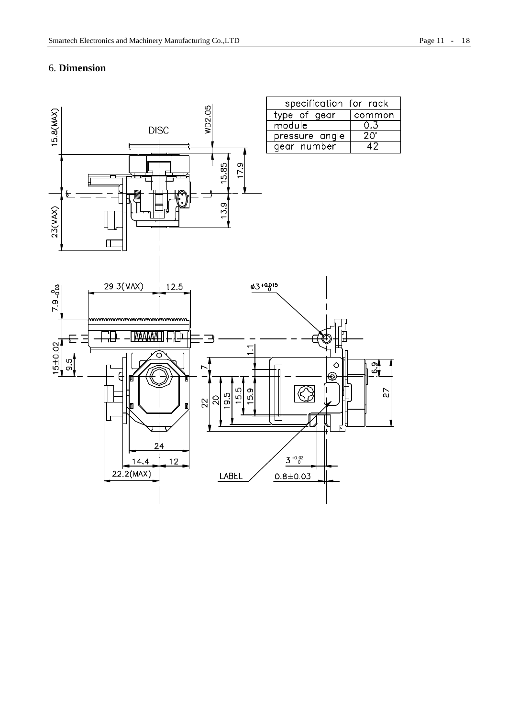### 6. **Dimension**

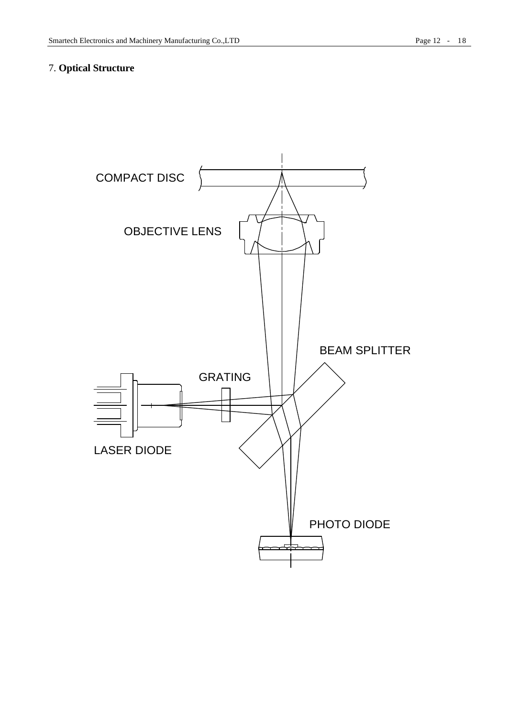### 7. **Optical Structure**

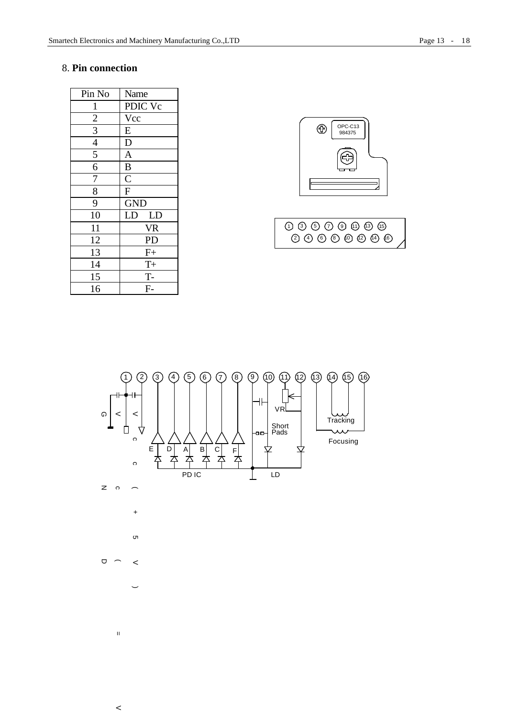| Pin No         | Name                  |  |
|----------------|-----------------------|--|
| $\mathbf{1}$   | PDIC Vc               |  |
| $\overline{2}$ | Vcc                   |  |
| $\overline{3}$ | ${\bf E}$             |  |
| $\overline{4}$ | $\overline{D}$        |  |
| 5              | $\overline{A}$        |  |
| 6              | $\bf{B}$              |  |
| $\overline{7}$ | $\overline{\text{C}}$ |  |
| 8              | $\overline{F}$        |  |
| 9              | <b>GND</b>            |  |
| 10             | LD<br>LD              |  |
| 11             | <b>VR</b>             |  |
| 12             | PD                    |  |
| 13             | $F+$                  |  |
| 14             | $T +$                 |  |
| 15             | $T -$                 |  |
| 16             | $F-$                  |  |

 $\,<$ 





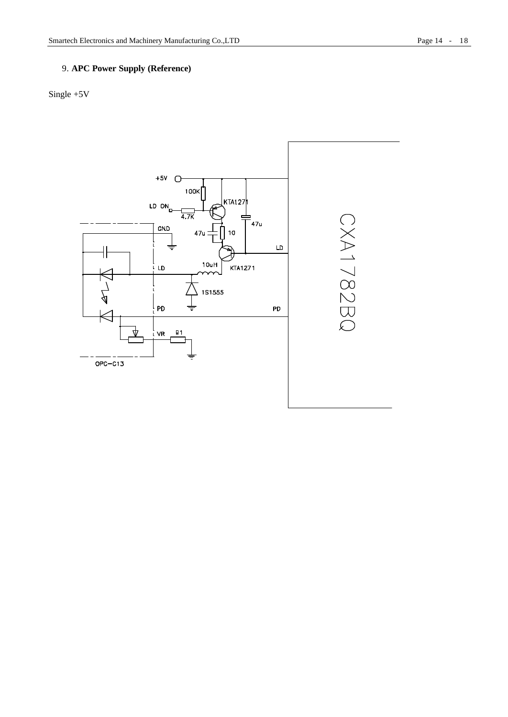### 9. **APC Power Supply (Reference)**

### Single +5V

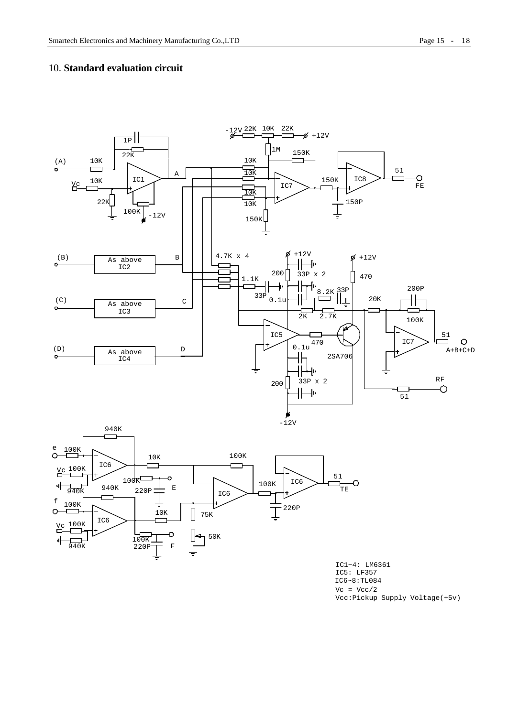### 10. **Standard evaluation circuit**





IC5: LF357 IC1~4: LM6361 IC6~8:TL084  $Vc = Vcc/2$ Vcc:Pickup Supply Voltage(+5v)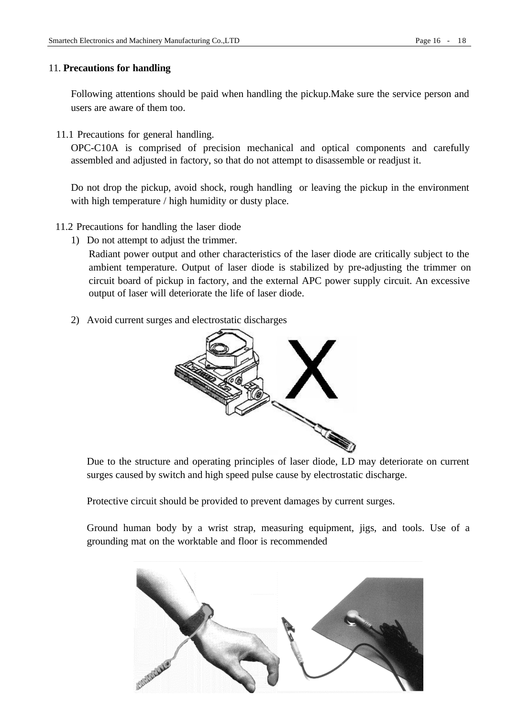### 11. **Precautions for handling**

Following attentions should be paid when handling the pickup.Make sure the service person and users are aware of them too.

11.1 Precautions for general handling.

OPC-C10A is comprised of precision mechanical and optical components and carefully assembled and adjusted in factory, so that do not attempt to disassemble or readjust it.

Do not drop the pickup, avoid shock, rough handling or leaving the pickup in the environment with high temperature / high humidity or dusty place.

- 11.2 Precautions for handling the laser diode
	- 1) Do not attempt to adjust the trimmer.

Radiant power output and other characteristics of the laser diode are critically subject to the ambient temperature. Output of laser diode is stabilized by pre-adjusting the trimmer on circuit board of pickup in factory, and the external APC power supply circuit. An excessive output of laser will deteriorate the life of laser diode.

2) Avoid current surges and electrostatic discharges



Due to the structure and operating principles of laser diode, LD may deteriorate on current surges caused by switch and high speed pulse cause by electrostatic discharge.

Protective circuit should be provided to prevent damages by current surges.

Ground human body by a wrist strap, measuring equipment, jigs, and tools. Use of a grounding mat on the worktable and floor is recommended

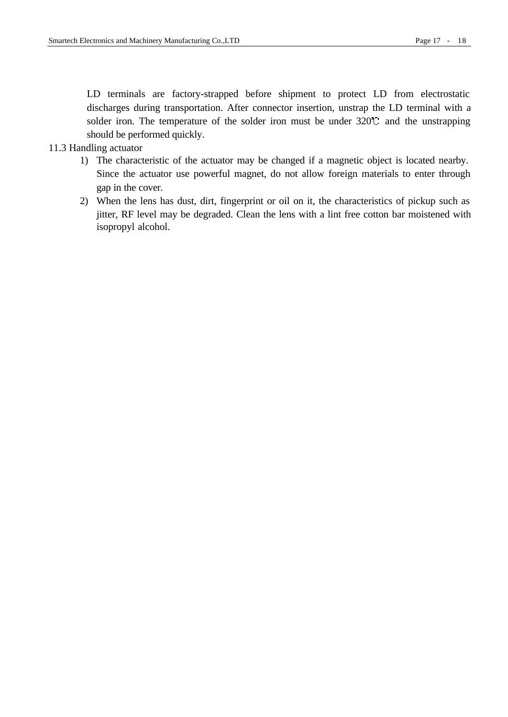LD terminals are factory-strapped before shipment to protect LD from electrostatic discharges during transportation. After connector insertion, unstrap the LD terminal with a solder iron. The temperature of the solder iron must be under  $320^\circ$  and the unstrapping should be performed quickly.

### 11.3 Handling actuator

- 1) The characteristic of the actuator may be changed if a magnetic object is located nearby. Since the actuator use powerful magnet, do not allow foreign materials to enter through gap in the cover.
- 2) When the lens has dust, dirt, fingerprint or oil on it, the characteristics of pickup such as jitter, RF level may be degraded. Clean the lens with a lint free cotton bar moistened with isopropyl alcohol.